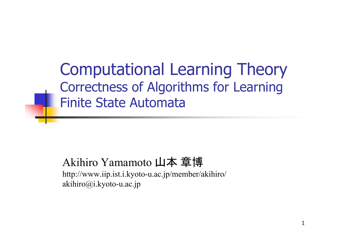Computational Learning Theory Correctness of Algorithms for Learning Finite State Automata

#### Akihiro Yamamoto 山本 章博

http://www.iip.ist.i.kyoto-u.ac.jp/member/akihiro/ akihiro@i.kyoto-u.ac.jp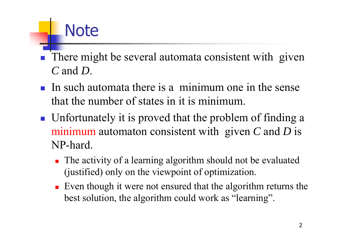# **Note**

- $\overline{\phantom{a}}$ There might be several automata consistent with given *C* and *D*.
- In such automata there is a minimum one in the sense that the number of states in it is minimum.
- **If** Unfortunately it is proved that the problem of finding a minimum automaton consistent with given *C* and *D* is NP-hard.
	- **The activity of a learning algorithm should not be evaluated** (justified) only on the viewpoint of optimization.
	- Even though it were not ensured that the algorithm returns the best solution, the algorithm could work as "learning".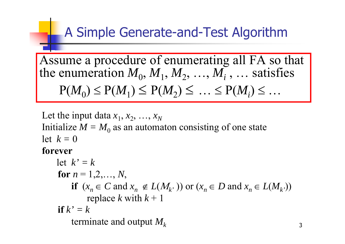### A Simple Generate-and-Test Algorithm

Assume a procedure of enumerating all FA so that the enumeration  $M_0, M_1, M_2, ..., M_i$  ,  $\ldots$  satisfies  $P(M_0) \le P(M_1) \le P(M_2) \le ... \le P(M_i) \le ...$ 

Let the input data  $x_1, x_2, ..., x_N$ Initialize  $M = M_0$  as an automaton consisting of one state let *k =*  0**forever**

let 
$$
k' = k
$$
  
\nfor  $n = 1, 2, ..., N$ ,  
\nif  $(x_n \in C \text{ and } x_n \notin L(M_k, \cdot))$  or  $(x_n \in D \text{ and } x_n \in L(M_{k}, \cdot))$   
\nreplace  $k$  with  $k + 1$   
\nif  $k' = k$   
\nterminate and output  $M_k$ 

3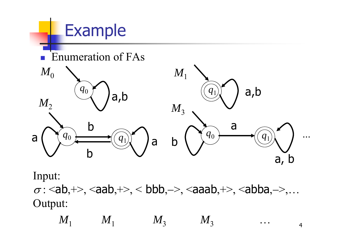

Output:

 $M_1$  $M_1$  *M*<sub>3</sub> *M*<sub>3</sub> … 4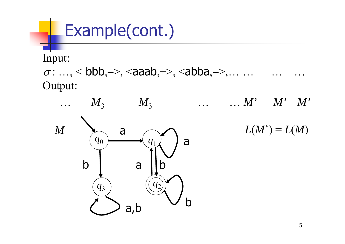## Example(cont.)

#### Input:

 $\sigma$ : …, < bbb,->, <aaab,+>, <abba,->,... … … … … Output:

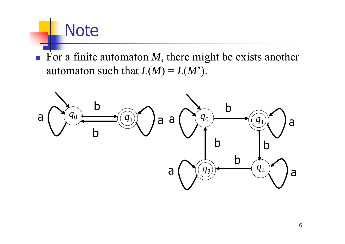### **Note**

For a finite automaton  $M$ , there might be exists another automaton such that  $L(M) = L(M')$ .

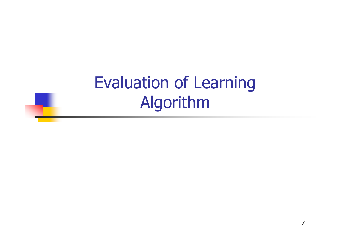Evaluation of Learning Algorithm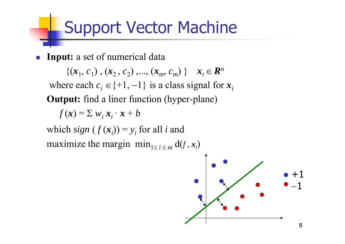### Support Vector Machine

 $\mathcal{L}_{\text{eff}}$ **Input:** a set of numerical data

 $\{(x_1, c_1), (x_2, c_2), ..., (x_m, c_m)\}\; | \; x_i \in \mathbb{R}$ *n* where each  $c_i \in \{+1, -1\}$  is a class signal for  $x_i$ **Output:** find a liner function (hyper-plane)

$$
f(\mathbf{x}) = \sum w_i \mathbf{x}_i \cdot \mathbf{x} + b
$$

which  $sign(f(x_i)) = y_i$  for all *i* and maximize the margin  $\min_{1 \le i \le m} d(f, x_i)$ 

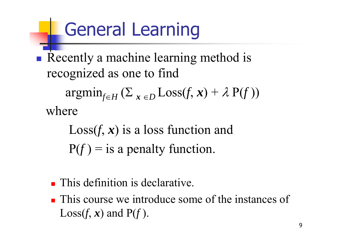# General Learning

 $\mathbb{R}^3$ Recently a machine learning method is recognized as one to find  $\mathop{\rm argmin}_{f \in H} \left( \Sigma_{|{\boldsymbol x}| \in D} \mathop{\rm Loss}(f,{\boldsymbol x}) + \lambda \mathop{\rm P}(f) \right)$ where

> Loss(*f*, *<sup>x</sup>*) is a loss function and  $P(f) =$  is a penalty function.

- **This definition is declarative.**
- **This course we introduce some of the instances of**  $\text{Loss}(f, \mathbf{x})$  and  $\text{P}(f)$ .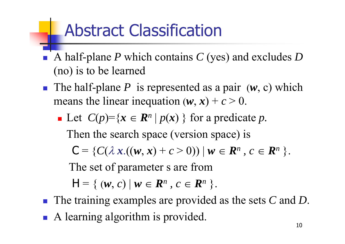### Abstract Classification

- $\overline{\phantom{a}}$  A half-plane *P* which contains *C* (yes) and excludes *D*  (no) is to be learned
- The half-plane *P* is represented as a pair  $(w, c)$  which means the linear inequation  $(w, x) + c > 0$ .
	- $\blacksquare$  Let  $C(p)=\{x \in \mathbb{R}\}$  $n | p(x) \}$  for a predicate *p*. Then the search space (version space) is  $C = \{ C(\lambda x.((w, x) + c > 0)) | w \in \mathbb{R} \}$  $^n$  ,  $\,$   $\in$   $\boldsymbol{R}$ *n* }. The set of parameter s are from  $H = \{ (w, c) | w \in R$  $^n$  ,  $\,$   $\in$   $\boldsymbol{R}$ *n* }.
- The training examples are provided as the sets *C* and *D*.
- A learning algorithm is provided.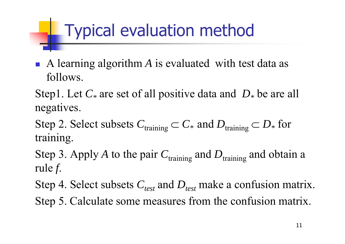# Typical evaluation method

 $\mathcal{L}_{\mathrm{eff}}$  A learning algorithm *A* is evaluated with test data as follows.

Step1. Let *C \** are set of all positive data and *D \** be are all negatives.

Step 2. Select subsets  $C_{\text{training}} \subset C_*$  and  $D_{\text{training}} \subset D_*$  for training.

Step 3. Apply A to the pair  $C_{\text{training}}$  and  $D_{\text{training}}$  and obtain a rule *f*.

Step 4. Select subsets  $C_{test}$  and  $D_{test}$  make a confusion matrix.

Step 5. Calculate some measures from the confusion matrix.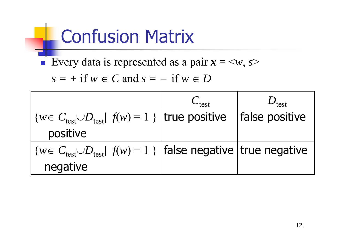# Confusion Matrix

Every data is represented as a pair  $x = \langle w, s \rangle$ 

$$
s = + \text{ if } w \in C \text{ and } s = - \text{ if } w \in D
$$

|                                                                                            | $C_{\text{test}}$ | $U_{\text{test}}$ |
|--------------------------------------------------------------------------------------------|-------------------|-------------------|
| $\{w \in C_{\text{test}} \cup D_{\text{test}}/f(w) = 1\}$   true positive   false positive |                   |                   |
| positive                                                                                   |                   |                   |
| $\{w \in C_{\text{test}} \cup D_{\text{test}}/f(w) = 1\}$   false negative   true negative |                   |                   |
| negative                                                                                   |                   |                   |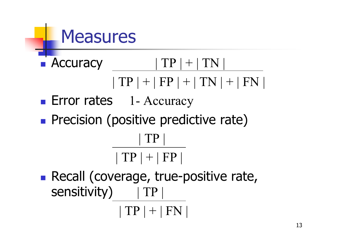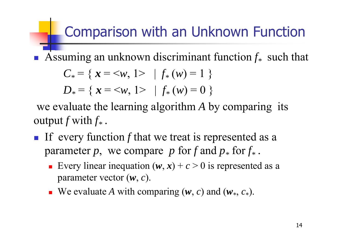### Comparison with an Unknown Function

 $\overline{\phantom{a}}$ **•** Assuming an unknown discriminant function  $f_*$  such that

$$
C_* = \{ \mathbf{x} = \langle w, 1 \rangle \mid f_*(w) = 1 \}
$$
  

$$
D_* = \{ \mathbf{x} = \langle w, 1 \rangle \mid f_*(w) = 0 \}
$$

we evaluate the learning algorithm *A* by comparing its output  $f$  with  $f_\ast$  .

- If every function  $f$  that we treat is represented as a parameter  $p$ , we compare  $p$  for  $f$  and  $p_*$  for  $f_*$  .
	- Every linear inequation  $(w, x) + c > 0$  is represented as a parameter vector ( *w*, *<sup>c</sup>*).
	- **W**e evaluate A with comparing  $(w, c)$  and  $(w_*, c_*)$ .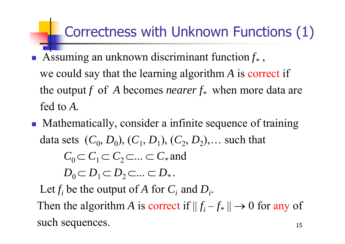### Correctness with Unknown Functions (1)

- T **•** Assuming an unknown discriminant function  $f_*$ , we could say that the learning algorithm *A* is correct if the output *f* of *A* becomes *nearer*  $f_*$  when more data are fed to *A.*
- **Mathematically, consider a infinite sequence of training** data sets  $(C_0, D_0), (C_1, D_1), (C_2, D_2), \dots$  such that  $C_0 \subset C_1 \subset C_2 \subset \ldots \subset C_*$  and  $D_0 \subset D_1 \subset D_2 \subset ... \subset D_*$ . Let  $f_i$  be the output of  $A$  for  $C_i$  and  $D_i$ .

Then the algorithm A is correct if  $||f_i - f_*|| \to 0$  for any of such sequences.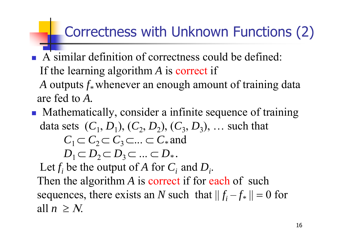### Correctness with Unknown Functions (2)

- T A similar definition of correctness could be defined: If the learning algorithm *A* is correct if A outputs  $f_*$  whenever an enough amount of training data are fed to *A.*
- **Mathematically, consider a infinite sequence of training** data sets  $(C_1, D_1), (C_2, D_2), (C_3, D_3), \ldots$  such that  $C_1 \subset C_2 \subset C_3 \subset \ldots \subset C_*$  and  $D_1 \subset D_2 \subset D_3 \subset ... \subset D_*$ . Let  $f_i$  be the output of  $A$  for  $C_i$  and  $D_i$ . Then the algorithm A is correct if for each of such sequences, there exists an N such that  $|| f_i - f_* ||$  $= 0$  for all  $n \geq N$ .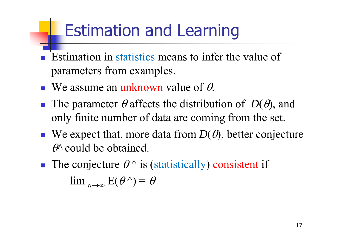### Estimation and Learning

- $\overline{\phantom{a}}$  Estimation in statistics means to infer the value of parameters from examples.
- **We assume an unknown value of**  $\theta$ **.**
- **The parameter**  $\theta$  **affects the distribution of**  $D(\theta)$ **, and** only finite number of data are coming from the set.
- **We expect that, more data from**  $D(\theta)$ **, better conjecture** *^* could be obtained.
- The conjecture  $\theta^{\wedge}$  is (statistically) consistent if  $\lim_{n\to\infty}$   $E(\theta^{\wedge}) = \theta$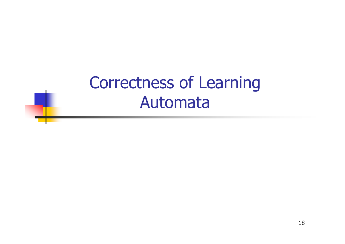### Correctness of Learning Automata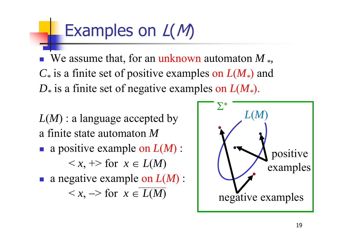### Examples on  $L(M)$

 We assume that, for an unknown automaton *M \*, C\** is a finite set of positive examples on *L*(*M\**) and *D\** is a finite set of negative examples on *L*(*M\**).

*L*(*M*) : a language accepted by a finite state automaton *M*

- T a positive example on *L*(*M*) :  $\langle x, +\rangle$  for  $x \in L(M)$
- a negative example on *L*(*M*) :  $\langle x, -\rangle$  for  $x \in L(M)$

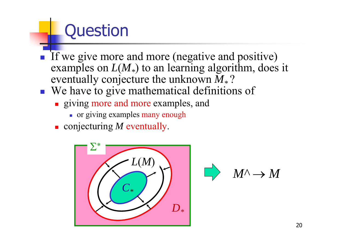# **Question**

- If we give more and more (negative and positive) examples on  $L(M_*)$  to an learning algorithm, does it eventually conjecture the unknown  $\overline{M}_{*}$ ?
- We have to give mathematical definitions of
	- **giving more and more examples, and** 
		- or giving examples many enough
	- conjecturing *M* eventually.



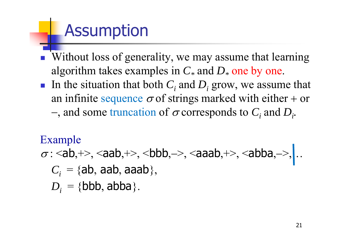### Assumption

- $\overline{\phantom{a}}$  Without loss of generality, we may assume that learning algorithm takes examples in  $C_*$  and  $D_*$  one by one.
- Ħ In the situation that both  $C_i$  and  $D_i$  grow, we assume that an infinite sequence  $\sigma$  of strings marked with either + or  $-$ , and some truncation of  $\sigma$  corresponds to  $C_i$  and  $D_i$ .

#### Example

 $\sigma$ : <ab,+>, <aab,+>, <br/> <br/> <br/> <br/> <br/> <br/> <br/> <br/>should analy->, cabba,->, cabba,->, cabba,  $C_i$  = {ab, aab, aaab},  $D_i = \{\mathsf{bbb}, \mathsf{abba}\}.$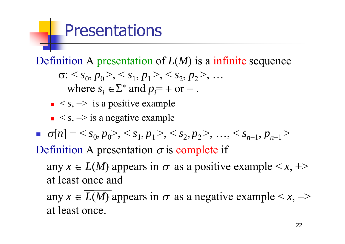### **Presentations**

Definition A presentation of *L*(*M*) is a infinite sequence

$$
\sigma: \langle s_0, p_0 \rangle, \langle s_1, p_1 \rangle, \langle s_2, p_2 \rangle, \dots
$$
  
where  $s_i \in \Sigma^*$  and  $p_i = +$  or – .

- $\bullet \leq s, \Rightarrow$  is a positive example
- $\bullet \leq s, \Rightarrow$  is a negative example

 $\mathcal{C}$  $\sigma[n] = \langle s_0, p_0 \rangle, \langle s_1, p_1 \rangle, \langle s_2, p_2 \rangle, \dots, \langle s_{n-1}, p_{n-1} \rangle$ 

Definition A presentation  $\sigma$  is complete if

any  $x \in L(M)$  appears in  $\sigma$  as a positive example  $\langle x, + \rangle$ at least once and

any  $x \in L(M)$  appears in  $\sigma$  as a negative example  $\langle x, -\rangle$ at least once.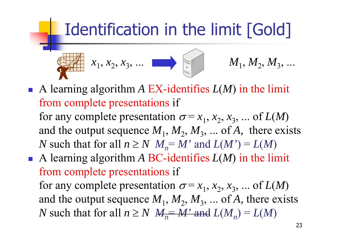

- A learning algorithm A EX-identifies  $L(M)$  in the limit from complete presentations if for any complete presentation  $\sigma = x_1, x_2, x_3, ...$  of  $L(M)$ and the output sequence  $M_1, M_2, M_3, ...$  of A, there exists *N* such that for all  $n \geq N$   $M_n = M'$  and  $L(M') = L(M)$
- $\blacksquare$  A learning algorithm A BC-identifies  $L(M)$  in the limit from complete presentations if for any complete presentation  $\sigma = x_1, x_2, x_3, ...$  of  $L(M)$ and the output sequence  $M_1, M_2, M_3, ...$  of A, there exists *N* such that for all  $n \ge N$   $M_n = M'$  and  $L(M_n) = L(M)$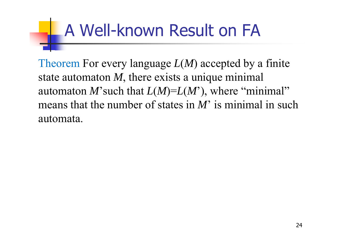# A Well-known Result on FA

Theorem For every language  $L(M)$  accepted by a finite state automaton *M*, there exists a unique minimal automaton *M*'such that *L*(*M*)=*L*(*M*'), where "minimal" means that the number of states in *M*' is minimal in such automata.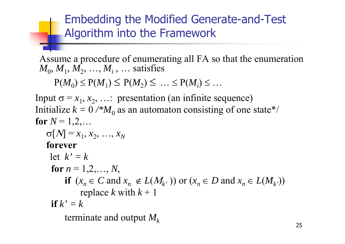#### Embedding the Modified Generate-and-Test Algorithm into the Framework

Input  $\sigma = x_1, x_2, \ldots$ : presentation (an infinite sequence) Initialize  $k = 0 \, \text{/*} M_0$  as an automaton consisting of one state\*/ for  $N=1,2,\ldots$  $\sigma[N] = x_1, x_2, \, ..., x_N$ **forever** let  $k' = k$ for  $n = 1, 2, \ldots, N$ , **if**  $(x_n \in C \text{ and } x_n \notin L(M_k, Y))$  or  $(x_n \in D \text{ and } x_n \in L(M_k, Y))$ replace *k* with *k* + 1 **if** *k' = k* terminate and output  $M_k$ Assume a procedure of enumerating all FA so that the enumeration  $M_0, M_1, M_2, ..., M_i, ...$  satisfies  $P(M_0) \le P(M_1) \le P(M_2) \le ... \le P(M_i) \le ...$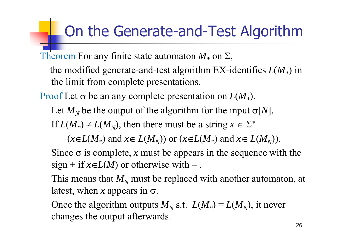### On the Generate-and-Test Algorithm

Theorem For any finite state automaton  $M_*$  on  $\Sigma$ ,

the modified generate-and-test algorithm EX-identifies *L* ( *M \**) in the limit from complete presentations.

Proof Let  $\sigma$  be an any complete presentation on  $L(M_*)$ .

Let  $M_N$  be the output of the algorithm for the input  $\sigma[N]$ .

If  $L(M_*) \neq L(M_N)$ , then there must be a string  $x \in \Sigma^*$ 

 $(x \in L(M_*)$  and  $x \notin L(M_N))$  or  $(x \notin L(M_*)$  and  $x \in L(M_N))$ .

Since  $\sigma$  is complete, x must be appears in the sequence with the  $sign + if x \in L(M)$  or otherwise with –.

This means that  $M_N$  must be replaced with another automaton, at latest, when x appears in  $\sigma$ .

Once the algorithm outputs  $M_N$  s.t.  $L(M_*) = L(M_N)$ , it never changes the output afterwards.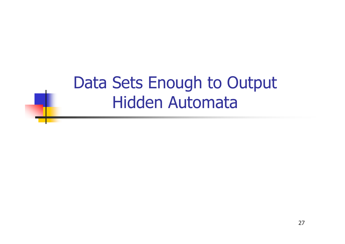### Data Sets Enough to Output Hidden Automata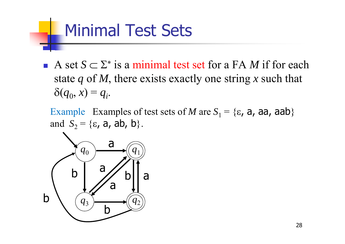### Minimal Test Sets

A set  $S \subset \Sigma^*$  is a minimal test set for a FA M if for each state *q* of *M*, there exists exactly one string *x* such that  $\delta(q_0, x) = q_i.$ 

Example Examples of test sets of *M* are  $S_1 = \{\epsilon, \, \text{a}, \, \text{aa}, \, \text{aab}\}\$ and  $S_2 = \{\varepsilon, a, ab, b\}.$ 

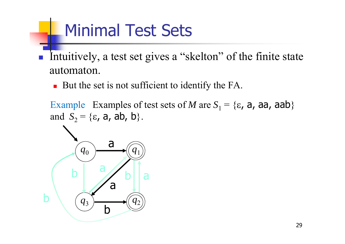### Minimal Test Sets

- Intuitively, a test set gives a "skelton" of the finite state automaton.
	- But the set is not sufficient to identify the FA.

Example Examples of test sets of *M* are  $S_1 = \{\epsilon, a, a\}$ , aah} and  $S_2 = \{\varepsilon, a, ab, b\}.$ 

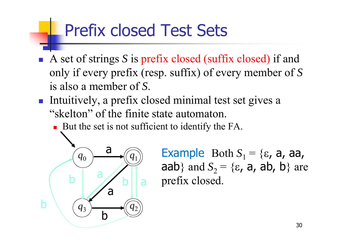### Prefix closed Test Sets

- A set of strings *S* is prefix closed (suffix closed) if and only if every prefix (resp. suffix) of every member of *S* is also a member of *S*.
- Intuitively, a prefix closed minimal test set gives a "skelton" of the finite state automaton.
	- But the set is not sufficient to identify the FA.



Example Both  $S_1 = \{\varepsilon, a, a, a\}$ aab} and  $S_2 = \{\varepsilon, a, ab, b\}$  are prefix closed.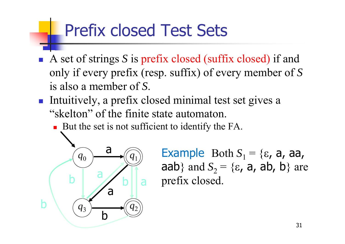### Prefix closed Test Sets

- A set of strings *S* is prefix closed (suffix closed) if and only if every prefix (resp. suffix) of every member of *S* is also a member of *S*.
- Intuitively, a prefix closed minimal test set gives a "skelton" of the finite state automaton.
	- But the set is not sufficient to identify the FA.



Example Both  $S_1 = \{\varepsilon, a, a, a\}$ aab} and  $S_2 = \{\varepsilon, a, ab, b\}$  are prefix closed.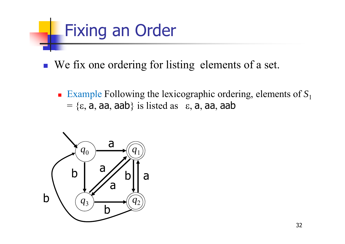

- We fix one ordering for listing elements of a set.
	- Example Following the lexicographic ordering, elements of S<sub>1</sub>  $= \{\epsilon, a, aa, aab\}$  is listed as  $\epsilon, a, aa, aab$

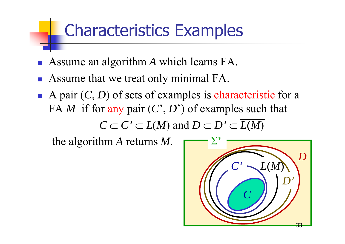### Characteristics Examples

- $\overline{\mathbb{R}}$ Assume an algorithm *A* which learns FA.
- **Assume that we treat only minimal FA.**
- A pair  $(C, D)$  of sets of examples is characteristic for a FA *M* if for any pair (*C*', *D*') of examples such that

 $C \subset C' \subset L(M)$  and  $D \subset D' \subset L(M)$ 

the algorithm *A* returns *M.*

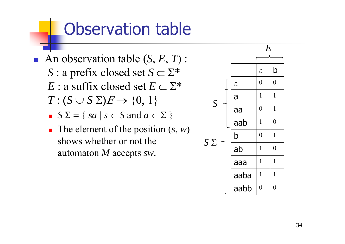### Observation table

- An observation table (S, E, T) :  $S$  : a prefix closed set  $S$   $\subset$   $\Sigma^*$  $E$  : a suffix closed set  $E \subset \Sigma^*$  $T: (S \cup S \Sigma)E \rightarrow \{0, 1\}$ 
	- $S \Sigma = \{ sa \mid s \in S \text{ and } a \in \Sigma \}$
	- The element of the position  $(s, w)$ shows whether or not the automaton *M* accepts *sw.*

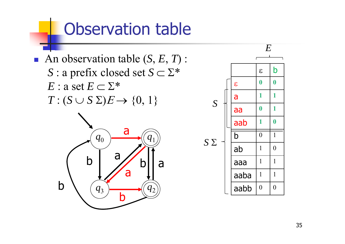### Observation table

■ An observation table (S, E, T) :  $S$  : a prefix closed set  $S$   $\subset$   $\Sigma^*$  $E$  : a set  $E \subset \Sigma^*$  $T: (S \cup S \Sigma)E \rightarrow \{0, 1\}$ 



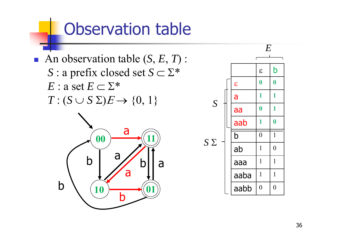### Observation table

■ An observation table (S, E, T) :  $S$  : a prefix closed set  $S$   $\subset$   $\Sigma^*$  $E$  : a set  $E \subset \Sigma^*$  $T: (S \cup S \Sigma)E \rightarrow \{0, 1\}$ 



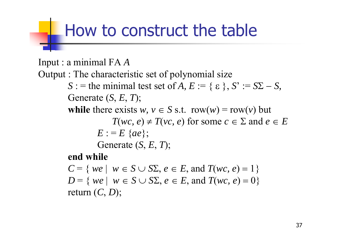### How to construct the table

Input : a minimal FA *A* Output : The characteristic set of polynomial size  $S :=$  the minimal test set of *A*,  $E := \{ \varepsilon \}, S' := S\Sigma - S$ , Generate ( *S*, *E*, *T*); **while** there exists  $w, v \in S$  s.t.  $row(w) = row(v)$  but  $T(wc, e) \neq T(vc, e)$  for some  $c \in \Sigma$  and  $e \in E$  $E := E \{ae\};$ Generate ( *S*, *E*, *T*); **end while**  $C = \{ we \mid w \in S \cup S\Sigma, e \in E, \text{ and } T(wc, e) = 1 \}$  $D = \{ we \mid w \in S \cup S\Sigma, e \in E, \text{ and } T(wc, e) = 0 \}$ return ( *C*, *D*);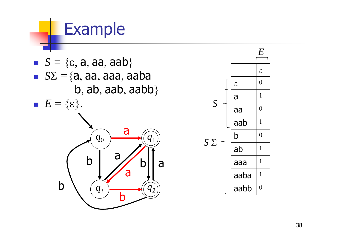$q_{\rm 0}$ *q* 3  $q_{\rm 2}$ b a a b $q_{\rm 1}$ a bab  $S = \{\epsilon, a, aa, aab\}$  $\bullet$   $S\Sigma = \{a, aa, aaa, aaba\}$  $b, ab, aab, aabb\}$  $E = \{\varepsilon\}.$ 

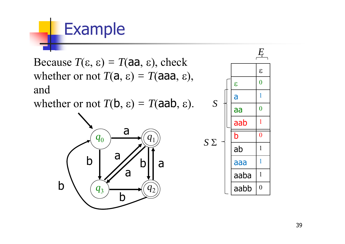Because  $T(\varepsilon, \varepsilon) = T(a a, \varepsilon)$ , check whether or not  $T(a, \varepsilon) = T(aaa, \varepsilon),$ and

whether or not  $T(b, \varepsilon) = T(aab, \varepsilon)$ .



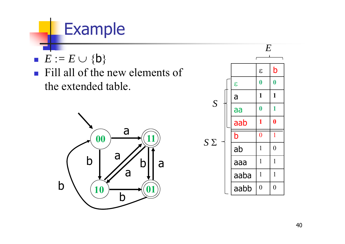

**Fill all of the new elements of** the extended table.



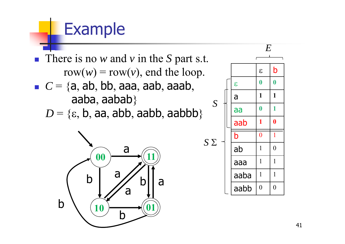■ There is no *w* and *v* in the *S* part s.t. row $(w)$  = row $(v)$ , end the loop.  $C = \{a, ab, bb, aaa, aab, aaab, \}$ aaba, aabab}

 $D = \{\varepsilon, \, \mathsf{b}, \, \mathsf{aa}, \, \mathsf{abb}, \, \mathsf{aabb}, \, \mathsf{aabbb}\}$ 



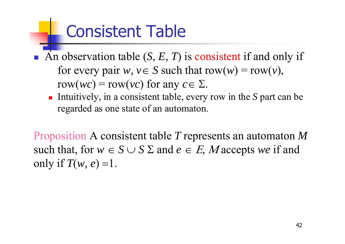### Consistent Table

- F. An observation table  $(S, E, T)$  is consistent if and only if for every pair  $w, v \in S$  such that  $row(w) = row(v)$ ,  $row(wc) = row(vc)$  for any  $c \in \Sigma$ .
	- Intuitively, in a consistent table, every row in the *S* part can be regarded as one state of an automaton.

Proposition A consistent table *T* represents an automaton *M*  such that, for  $w \in S \cup S \Sigma$  and  $e \in E$ , Maccepts we if and only if  $T(w, e) = 1$ .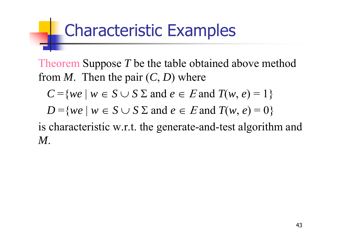### Characteristic Examples

Theorem Suppose T be the table obtained above method from *M*. Then the pair ( *C*, *D*) where

$$
C = \{ we \mid w \in S \cup S \Sigma \text{ and } e \in E \text{ and } T(w, e) = 1 \}
$$

$$
D = \{ we \mid w \in S \cup S \Sigma \text{ and } e \in E \text{ and } T(w, e) = 0 \}
$$

is characteristic w.r.t. the generate-and-test algorithm and *M*.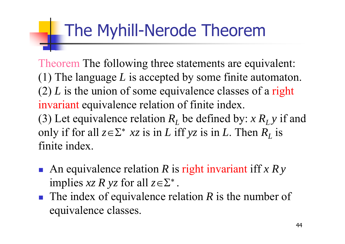### The Myhill-Nerode Theorem

Theorem The following three statements are equivalent: (1) The language *L* is accepted by some finite automaton. (2) *L* is the union of some equivalence classes of a right invariant equivalence relation of finite index. (3) Let equivalence relation  $R_L$  be defined by:  $x R_L y$  if and only if for all  $z \in \Sigma^*$  xz is in L iff yz is in L. Then  $R_L$  is finite index.

- An equivalence relation R is right invariant iff *x Ry* implies  $xz R yz$  for all  $z \in \Sigma^*$ .
- The index of equivalence relation R is the number of equivalence classes.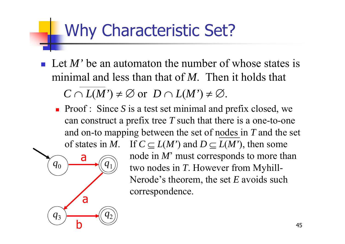### Why Characteristic Set?

 $q_{\rm 0}$ 

a

a

b

*q* 3

*q* 2

*q*1

- Let *M*' be an automaton the number of whose states is minimal and less than that of *M*. Then it holds that  $C \cap L(M') \neq \emptyset$  or  $D \cap L(M') \neq \emptyset$ .
	- **Proof**: Since S is a test set minimal and prefix closed, we can construct a prefix tree *T* such that there is a one-to-one and on-to mapping between the set of nodes in *T* and the set of states in M. If  $C \subseteq L(M')$  and  $D \subseteq L(M')$ , then some

node in *M*' must corresponds to more than two nodes in *T*. However from Myhill-Nerode's theorem, the set *E* avoids such correspondence.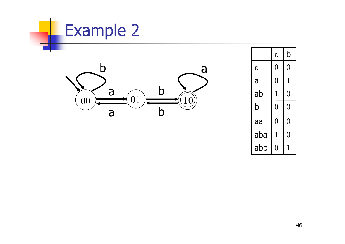

a

b

a

 $\bullet$  01  $\rightarrow$  10

b

b

00



| $\mathcal{E}$ | 0 | ()               |
|---------------|---|------------------|
| a             | 0 | 1                |
| ab            | 1 | N                |
| b             | 0 | 0                |
| aa            | 0 | 0                |
| aba           | 1 | $\left( \right)$ |
| abb           |   |                  |

b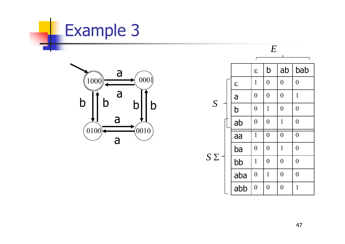



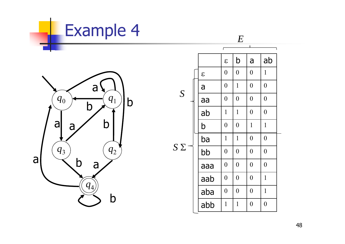

*E*



|        |               | ٢                |                  |                  |                  |
|--------|---------------|------------------|------------------|------------------|------------------|
|        |               | $\mathcal{E}$    | b                | a                | ab               |
|        | $\mathcal{E}$ | $\overline{0}$   | $\overline{0}$   | $\overline{0}$   | $\mathbf{1}$     |
| S      | a             | $\overline{0}$   | $\mathbf{1}$     | $\boldsymbol{0}$ | $\overline{0}$   |
|        | aa            | $\overline{0}$   | $\overline{0}$   | $\overline{0}$   | $\overline{0}$   |
|        | ab            | $\mathbf{1}$     | $\mathbf{1}$     | $\overline{0}$   | $\overline{0}$   |
|        | b             | $\overline{0}$   | $\overline{0}$   | $\mathbf{1}$     | $\mathbf{1}$     |
| $\sum$ | ba            | $\mathbf{1}$     | $\mathbf{1}$     | $\overline{0}$   | $\boldsymbol{0}$ |
|        | bb            | $\boldsymbol{0}$ | $\overline{0}$   | $\overline{0}$   | $\overline{0}$   |
|        | aaa           | $\overline{0}$   | $\boldsymbol{0}$ | $\overline{0}$   | $\overline{0}$   |
|        | aab           | $\overline{0}$   | $\overline{0}$   | $\overline{0}$   | $\mathbf{1}$     |
|        | aba           | $\overline{0}$   | $\overline{0}$   | $\overline{0}$   | $\mathbf{1}$     |
|        | abb           | $\mathbf{1}$     | $\mathbf{1}$     | $\overline{0}$   | $\overline{0}$   |

*S*

48